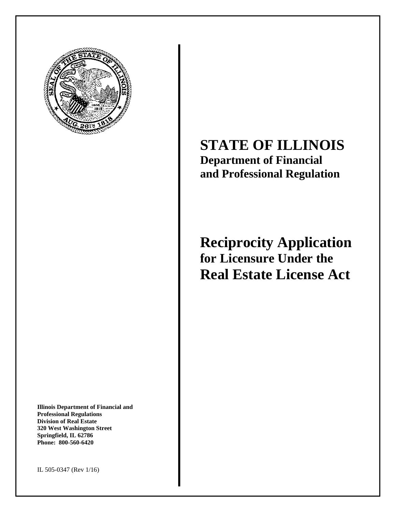

**Illinois Department of Financial and Professional Regulations Division of Real Estate 320 West Washington Street Springfield, IL 62786 Phone: 800-560-6420** 

# **STATE OF ILLINOIS Department of Financial and Professional Regulation**

## **Reciprocity Application for Licensure Under the Real Estate License Act**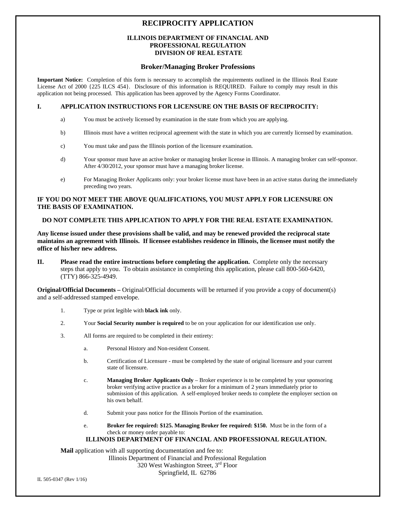### **RECIPROCITY APPLICATION**

### **ILLINOIS DEPARTMENT OF FINANCIAL AND PROFESSIONAL REGULATION DIVISION OF REAL ESTATE**

#### **Broker/Managing Broker Professions**

**Important Notice:** Completion of this form is necessary to accomplish the requirements outlined in the Illinois Real Estate License Act of 2000 {225 ILCS 454}. Disclosure of this information is REQUIRED. Failure to comply may result in this application not being processed. This application has been approved by the Agency Forms Coordinator.

### **I. APPLICATION INSTRUCTIONS FOR LICENSURE ON THE BASIS OF RECIPROCITY:**

- a) You must be actively licensed by examination in the state from which you are applying.
- b) Illinois must have a written reciprocal agreement with the state in which you are currently licensed by examination.
- c) You must take and pass the Illinois portion of the licensure examination.
- d) Your sponsor must have an active broker or managing broker license in Illinois. A managing broker can self-sponsor. After 4/30/2012, your sponsor must have a managing broker license.
- e) For Managing Broker Applicants only: your broker license must have been in an active status during the immediately preceding two years.

### **IF YOU DO NOT MEET THE ABOVE QUALIFICATIONS, YOU MUST APPLY FOR LICENSURE ON THE BASIS OF EXAMINATION.**

### **DO NOT COMPLETE THIS APPLICATION TO APPLY FOR THE REAL ESTATE EXAMINATION.**

**Any license issued under these provisions shall be valid, and may be renewed provided the reciprocal state maintains an agreement with Illinois. If licensee establishes residence in Illinois, the licensee must notify the office of his/her new address.** 

**II. Please read the entire instructions before completing the application.** Complete only the necessary steps that apply to you. To obtain assistance in completing this application, please call 800-560-6420, (TTY) 866-325-4949.

**Original/Official Documents –** Original/Official documents will be returned if you provide a copy of document(s) and a self-addressed stamped envelope.

- 1. Type or print legible with **black ink** only.
- 2. Your **Social Security number is required** to be on your application for our identification use only.
- 3. All forms are required to be completed in their entirety:
	- a. Personal History and Non-resident Consent.
	- b. Certification of Licensure must be completed by the state of original licensure and your current state of licensure.
	- c. **Managing Broker Applicants Only** Broker experience is to be completed by your sponsoring broker verifying active practice as a broker for a minimum of 2 years immediately prior to submission of this application. A self-employed broker needs to complete the employer section on his own behalf.
	- d. Submit your pass notice for the Illinois Portion of the examination.
	- e. **Broker fee required: \$125. Managing Broker fee required: \$150.** Must be in the form of a check or money order payable to:

### **ILLINOIS DEPARTMENT OF FINANCIAL AND PROFESSIONAL REGULATION.**

**Mail** application with all supporting documentation and fee to: Illinois Department of Financial and Professional Regulation 320 West Washington Street, 3rd Floor Springfield, IL 62786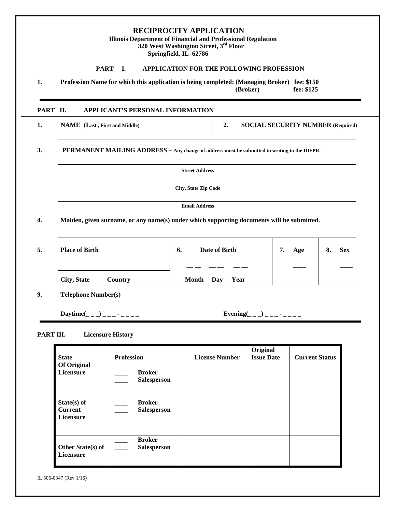| <b>RECIPROCITY APPLICATION</b><br><b>Illinois Department of Financial and Professional Regulation</b><br>320 West Washington Street, 3rd Floor<br>Springfield, IL 62786 |                                                                                                                       |              |                                                 |                                          |                  |  |  |
|-------------------------------------------------------------------------------------------------------------------------------------------------------------------------|-----------------------------------------------------------------------------------------------------------------------|--------------|-------------------------------------------------|------------------------------------------|------------------|--|--|
|                                                                                                                                                                         | <b>PART</b><br>I.                                                                                                     |              | <b>APPLICATION FOR THE FOLLOWING PROFESSION</b> |                                          |                  |  |  |
| 1.                                                                                                                                                                      | Profession Name for which this application is being completed: (Managing Broker) fee: \$150<br>fee: \$125<br>(Broker) |              |                                                 |                                          |                  |  |  |
| PART II.                                                                                                                                                                | APPLICANT'S PERSONAL INFORMATION                                                                                      |              |                                                 |                                          |                  |  |  |
| 1.                                                                                                                                                                      | <b>NAME</b> (Last, First and Middle)                                                                                  |              | 2.                                              | <b>SOCIAL SECURITY NUMBER (Required)</b> |                  |  |  |
| 3.                                                                                                                                                                      | <b>PERMANENT MAILING ADDRESS – Any change of address must be submitted in writing to the IDFPR.</b>                   |              |                                                 |                                          |                  |  |  |
|                                                                                                                                                                         | <b>Street Address</b>                                                                                                 |              |                                                 |                                          |                  |  |  |
|                                                                                                                                                                         | <b>City, State Zip Code</b>                                                                                           |              |                                                 |                                          |                  |  |  |
|                                                                                                                                                                         | <b>Email Address</b>                                                                                                  |              |                                                 |                                          |                  |  |  |
| 4.                                                                                                                                                                      | Maiden, given surname, or any name(s) under which supporting documents will be submitted.                             |              |                                                 |                                          |                  |  |  |
| 5.                                                                                                                                                                      | <b>Place of Birth</b>                                                                                                 | 6.           | Date of Birth                                   | 7.<br>Age                                | 8.<br><b>Sex</b> |  |  |
|                                                                                                                                                                         | City, State<br>Country                                                                                                | <b>Month</b> | Year<br>Day                                     |                                          |                  |  |  |

**9. Telephone Number(s)** 

 $\text{Daytime}(\_\_ \_\_ \_\_ \_\_ \_\_ \_\_ \_\_ \_\_ \_\_ \_\_ \_\_ \_\_ \_ \_ \_ \_ \_ \_ \_ \_ \_ \_ \_ \_ \_$ 

### **PART III. Licensure History**

| <b>State</b><br><b>Of Original</b><br>Licensure | <b>Profession</b><br><b>Broker</b><br><b>Salesperson</b> | <b>License Number</b> | Original<br><b>Issue Date</b> | <b>Current Status</b> |
|-------------------------------------------------|----------------------------------------------------------|-----------------------|-------------------------------|-----------------------|
| $State(s)$ of<br><b>Current</b><br>Licensure    | <b>Broker</b><br><b>Salesperson</b>                      |                       |                               |                       |
| <b>Other State(s) of</b><br>Licensure           | <b>Broker</b><br><b>Salesperson</b>                      |                       |                               |                       |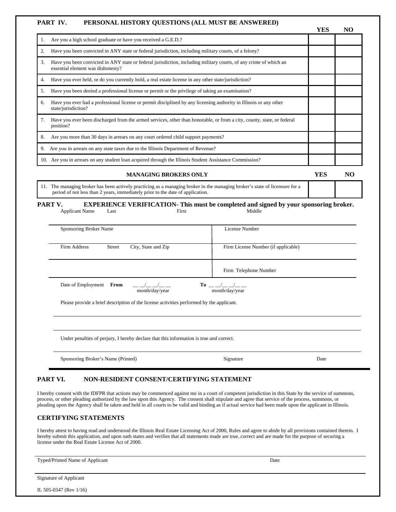#### **PART IV. PERSONAL HISTORY QUESTIONS (ALL MUST BE ANSWERED)**

|    |                                                                                                                                                        | YES | NO |
|----|--------------------------------------------------------------------------------------------------------------------------------------------------------|-----|----|
|    | Are you a high school graduate or have you received a G.E.D.?                                                                                          |     |    |
| 2. | Have you been convicted in ANY state or federal jurisdiction, including military courts, of a felony?                                                  |     |    |
| 3. | Have you been convicted in ANY state or federal jurisdiction, including military courts, of any crime of which an<br>essential element was dishonesty? |     |    |
| 4. | Have you ever held, or do you currently hold, a real estate license in any other state/jurisdiction?                                                   |     |    |
| 5. | Have you been denied a professional license or permit or the privilege of taking an examination?                                                       |     |    |
| 6. | Have you ever had a professional license or permit disciplined by any licensing authority in Illinois or any other<br>state/jurisdiction?              |     |    |
| 7. | Have you ever been discharged from the armed services, other than honorable, or from a city, county, state, or federal<br>position?                    |     |    |
| 8. | Are you more than 30 days in arrears on any court ordered child support payments?                                                                      |     |    |
| 9. | Are you in arrears on any state taxes due to the Illinois Department of Revenue?                                                                       |     |    |
|    | 10. Are you in arrears on any student loan acquired through the Illinois Student Assistance Commission?                                                |     |    |
|    |                                                                                                                                                        |     |    |

### **MANAGING BROKERS ONLY YES NO**

11. The managing broker has been actively practicing as a managing broker in the managing broker's state of licensure for a period of not less than 2 years, immediately prior to the date of application.

#### **PART V.** EXPERIENCE VERIFICATION- This must be completed and signed by your sponsoring broker. Applicant Name Last **Einst** First Middle

| Sponsoring Broker Name                                        | License Number                                                                               |  |
|---------------------------------------------------------------|----------------------------------------------------------------------------------------------|--|
| City, State and Zip<br>Firm Address<br>Street                 | Firm License Number (if applicable)                                                          |  |
|                                                               | Firm Telephone Number                                                                        |  |
| Date of Employment<br>From<br>_ _/__ _/__ _<br>month/day/year | To $\frac{\mu}{\mu}$ $\frac{\mu}{\mu}$ $\frac{\mu}{\mu}$ $\frac{\mu}{\mu}$<br>month/day/year |  |

Please provide a brief description of the license activities performed by the applicant.

Under penalties of perjury, I hereby declare that this information is true and correct.

| Sponsoring Broker's Name (Printed) | Signature | Date |
|------------------------------------|-----------|------|
|                                    |           |      |

### **PART VI. NON-RESIDENT CONSENT/CERTIFYING STATEMENT**

I hereby consent with the IDFPR that actions may be commenced against me in a court of competent jurisdiction in this State by the service of summons, process, or other pleading authorized by the law upon this Agency. The consent shall stipulate and agree that service of the process, summons, or pleading upon the Agency shall be taken and held in all courts to be valid and binding as if actual service had been made upon the applicant in Illinois.

### **CERTIFYING STATEMENTS**

I hereby attest to having read and understood the Illinois Real Estate Licensing Act of 2000, Rules and agree to abide by all provisions contained therein. I hereby submit this application, and upon oath states and verifies that all statements made are true, correct and are made for the purpose of securing a license under the Real Estate License Act of 2000.

| Typed/Printed Name of Applicant | Date |  |  |  |
|---------------------------------|------|--|--|--|
|                                 |      |  |  |  |
| <b>Signature of Applicant</b>   |      |  |  |  |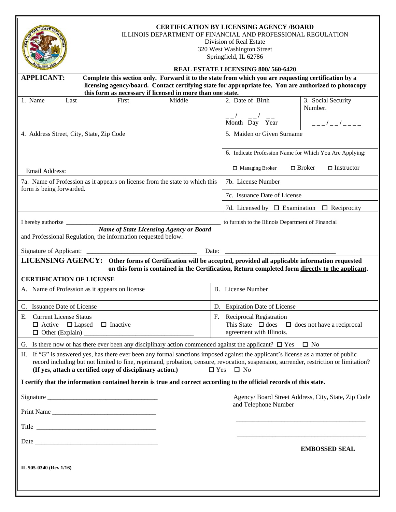|                                                                                                                                                                                                                                                                                                                                                                        | <b>CERTIFICATION BY LICENSING AGENCY /BOARD</b><br>ILLINOIS DEPARTMENT OF FINANCIAL AND PROFESSIONAL REGULATION<br>Division of Real Estate<br>320 West Washington Street<br>Springfield, IL 62786<br><b>REAL ESTATE LICENSING 800/560-6420</b> |       |                                                                                                                    |                                                     |  |  |
|------------------------------------------------------------------------------------------------------------------------------------------------------------------------------------------------------------------------------------------------------------------------------------------------------------------------------------------------------------------------|------------------------------------------------------------------------------------------------------------------------------------------------------------------------------------------------------------------------------------------------|-------|--------------------------------------------------------------------------------------------------------------------|-----------------------------------------------------|--|--|
| <b>APPLICANT:</b><br>Complete this section only. Forward it to the state from which you are requesting certification by a<br>licensing agency/board. Contact certifying state for appropriate fee. You are authorized to photocopy                                                                                                                                     |                                                                                                                                                                                                                                                |       |                                                                                                                    |                                                     |  |  |
| 1. Name<br>Last                                                                                                                                                                                                                                                                                                                                                        | this form as necessary if licensed in more than one state.<br>First<br>Middle                                                                                                                                                                  |       | 2. Date of Birth                                                                                                   | 3. Social Security                                  |  |  |
|                                                                                                                                                                                                                                                                                                                                                                        |                                                                                                                                                                                                                                                |       | __/ __/ __<br>Month Day Year                                                                                       | Number.<br>$   /$ $    -$                           |  |  |
| 4. Address Street, City, State, Zip Code                                                                                                                                                                                                                                                                                                                               |                                                                                                                                                                                                                                                |       | 5. Maiden or Given Surname                                                                                         |                                                     |  |  |
|                                                                                                                                                                                                                                                                                                                                                                        |                                                                                                                                                                                                                                                |       | 6. Indicate Profession Name for Which You Are Applying:                                                            |                                                     |  |  |
| Email Address:                                                                                                                                                                                                                                                                                                                                                         |                                                                                                                                                                                                                                                |       | □ Managing Broker                                                                                                  | $\Box$ Broker<br>$\Box$ Instructor                  |  |  |
| form is being forwarded.                                                                                                                                                                                                                                                                                                                                               | 7a. Name of Profession as it appears on license from the state to which this                                                                                                                                                                   |       | 7b. License Number                                                                                                 |                                                     |  |  |
|                                                                                                                                                                                                                                                                                                                                                                        |                                                                                                                                                                                                                                                |       | 7c. Issuance Date of License                                                                                       |                                                     |  |  |
|                                                                                                                                                                                                                                                                                                                                                                        |                                                                                                                                                                                                                                                |       | 7d. Licensed by $\Box$ Examination $\Box$ Reciprocity                                                              |                                                     |  |  |
|                                                                                                                                                                                                                                                                                                                                                                        | I hereby authorize                                                                                                                                                                                                                             |       | to furnish to the Illinois Department of Financial                                                                 |                                                     |  |  |
|                                                                                                                                                                                                                                                                                                                                                                        | <b>Name of State Licensing Agency or Board</b><br>and Professional Regulation, the information requested below.                                                                                                                                |       |                                                                                                                    |                                                     |  |  |
| Signature of Applicant: _                                                                                                                                                                                                                                                                                                                                              | <u> 1989 - Jan James James Barnett, fransk politik (d. 1989)</u>                                                                                                                                                                               | Date: |                                                                                                                    |                                                     |  |  |
|                                                                                                                                                                                                                                                                                                                                                                        | LICENSING AGENCY: Other forms of Certification will be accepted, provided all applicable information requested<br>on this form is contained in the Certification, Return completed form directly to the applicant.                             |       |                                                                                                                    |                                                     |  |  |
| <b>CERTIFICATION OF LICENSE</b>                                                                                                                                                                                                                                                                                                                                        |                                                                                                                                                                                                                                                |       |                                                                                                                    |                                                     |  |  |
| A. Name of Profession as it appears on license                                                                                                                                                                                                                                                                                                                         |                                                                                                                                                                                                                                                |       | B. License Number                                                                                                  |                                                     |  |  |
| C. Issuance Date of License                                                                                                                                                                                                                                                                                                                                            |                                                                                                                                                                                                                                                |       | D. Expiration Date of License                                                                                      |                                                     |  |  |
| E. Current License Status<br>$\Box$ Active $\Box$ Lapsed<br>$\Box$ Inactive                                                                                                                                                                                                                                                                                            |                                                                                                                                                                                                                                                |       | F. Reciprocal Registration<br>This State $\Box$ does $\Box$ does not have a reciprocal<br>agreement with Illinois. |                                                     |  |  |
|                                                                                                                                                                                                                                                                                                                                                                        | G. Is there now or has there ever been any disciplinary action commenced against the applicant? $\Box$ Yes $\Box$ No                                                                                                                           |       |                                                                                                                    |                                                     |  |  |
| H. If "G" is answered yes, has there ever been any formal sanctions imposed against the applicant's license as a matter of public<br>record including but not limited to fine, reprimand, probation, censure, revocation, suspension, surrender, restriction or limitation?<br>(If yes, attach a certified copy of disciplinary action.)<br>$\Box$ Yes<br>$\square$ No |                                                                                                                                                                                                                                                |       |                                                                                                                    |                                                     |  |  |
| I certify that the information contained herein is true and correct according to the official records of this state.                                                                                                                                                                                                                                                   |                                                                                                                                                                                                                                                |       |                                                                                                                    |                                                     |  |  |
|                                                                                                                                                                                                                                                                                                                                                                        |                                                                                                                                                                                                                                                |       |                                                                                                                    | Agency/ Board Street Address, City, State, Zip Code |  |  |
| Print Name                                                                                                                                                                                                                                                                                                                                                             |                                                                                                                                                                                                                                                |       | and Telephone Number                                                                                               |                                                     |  |  |
|                                                                                                                                                                                                                                                                                                                                                                        |                                                                                                                                                                                                                                                |       |                                                                                                                    |                                                     |  |  |
|                                                                                                                                                                                                                                                                                                                                                                        |                                                                                                                                                                                                                                                |       |                                                                                                                    | <b>EMBOSSED SEAL</b>                                |  |  |
| IL 505-0340 (Rev 1/16)                                                                                                                                                                                                                                                                                                                                                 |                                                                                                                                                                                                                                                |       |                                                                                                                    |                                                     |  |  |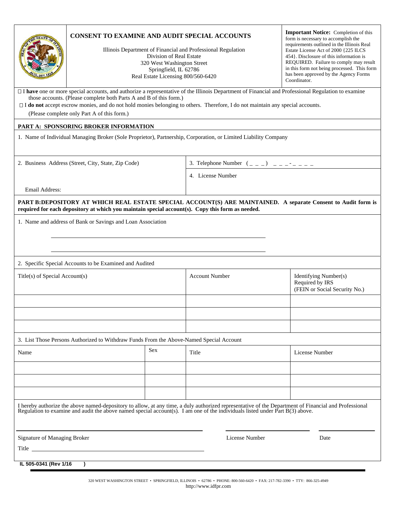|                                                                                                                                                                                                                                                                                          | CONSENT TO EXAMINE AND AUDIT SPECIAL ACCOUNTS<br>Illinois Department of Financial and Professional Regulation<br>320 West Washington Street<br>Real Estate Licensing 800/560-6420                                                                                                                                                                                                                               | <b>Important Notice:</b> Completion of this<br>form is necessary to accomplish the<br>requirements outlined in the Illinois Real<br>Estate License Act of 2000 {225 ILCS<br>454 }. Disclosure of this information is<br>REQUIRED. Failure to comply may result<br>in this form not being processed. This form<br>has been approved by the Agency Forms<br>Coordinator. |                                                                                                                 |                                                                                                               |  |  |  |
|------------------------------------------------------------------------------------------------------------------------------------------------------------------------------------------------------------------------------------------------------------------------------------------|-----------------------------------------------------------------------------------------------------------------------------------------------------------------------------------------------------------------------------------------------------------------------------------------------------------------------------------------------------------------------------------------------------------------|------------------------------------------------------------------------------------------------------------------------------------------------------------------------------------------------------------------------------------------------------------------------------------------------------------------------------------------------------------------------|-----------------------------------------------------------------------------------------------------------------|---------------------------------------------------------------------------------------------------------------|--|--|--|
|                                                                                                                                                                                                                                                                                          | I have one or more special accounts, and authorize a representative of the Illinois Department of Financial and Professional Regulation to examine<br>those accounts. (Please complete both Parts A and B of this form.)<br>$\Box$ I do not accept escrow monies, and do not hold monies belonging to others. Therefore, I do not maintain any special accounts.<br>(Please complete only Part A of this form.) |                                                                                                                                                                                                                                                                                                                                                                        |                                                                                                                 |                                                                                                               |  |  |  |
|                                                                                                                                                                                                                                                                                          | PART A: SPONSORING BROKER INFORMATION                                                                                                                                                                                                                                                                                                                                                                           |                                                                                                                                                                                                                                                                                                                                                                        |                                                                                                                 |                                                                                                               |  |  |  |
|                                                                                                                                                                                                                                                                                          |                                                                                                                                                                                                                                                                                                                                                                                                                 |                                                                                                                                                                                                                                                                                                                                                                        | 1. Name of Individual Managing Broker (Sole Proprietor), Partnership, Corporation, or Limited Liability Company |                                                                                                               |  |  |  |
|                                                                                                                                                                                                                                                                                          | 2. Business Address (Street, City, State, Zip Code)                                                                                                                                                                                                                                                                                                                                                             |                                                                                                                                                                                                                                                                                                                                                                        | 3. Telephone Number $($ $($ $)$ $)$ $       -$                                                                  |                                                                                                               |  |  |  |
|                                                                                                                                                                                                                                                                                          |                                                                                                                                                                                                                                                                                                                                                                                                                 |                                                                                                                                                                                                                                                                                                                                                                        | 4. License Number                                                                                               |                                                                                                               |  |  |  |
| Email Address:                                                                                                                                                                                                                                                                           |                                                                                                                                                                                                                                                                                                                                                                                                                 |                                                                                                                                                                                                                                                                                                                                                                        |                                                                                                                 |                                                                                                               |  |  |  |
|                                                                                                                                                                                                                                                                                          | required for each depository at which you maintain special account(s). Copy this form as needed.                                                                                                                                                                                                                                                                                                                |                                                                                                                                                                                                                                                                                                                                                                        |                                                                                                                 | PART B:DEPOSITORY AT WHICH REAL ESTATE SPECIAL ACCOUNT(S) ARE MAINTAINED. A separate Consent to Audit form is |  |  |  |
|                                                                                                                                                                                                                                                                                          |                                                                                                                                                                                                                                                                                                                                                                                                                 |                                                                                                                                                                                                                                                                                                                                                                        |                                                                                                                 |                                                                                                               |  |  |  |
|                                                                                                                                                                                                                                                                                          | 1. Name and address of Bank or Savings and Loan Association                                                                                                                                                                                                                                                                                                                                                     |                                                                                                                                                                                                                                                                                                                                                                        |                                                                                                                 |                                                                                                               |  |  |  |
|                                                                                                                                                                                                                                                                                          |                                                                                                                                                                                                                                                                                                                                                                                                                 |                                                                                                                                                                                                                                                                                                                                                                        |                                                                                                                 |                                                                                                               |  |  |  |
|                                                                                                                                                                                                                                                                                          |                                                                                                                                                                                                                                                                                                                                                                                                                 |                                                                                                                                                                                                                                                                                                                                                                        |                                                                                                                 |                                                                                                               |  |  |  |
|                                                                                                                                                                                                                                                                                          | 2. Specific Special Accounts to be Examined and Audited                                                                                                                                                                                                                                                                                                                                                         |                                                                                                                                                                                                                                                                                                                                                                        |                                                                                                                 |                                                                                                               |  |  |  |
| Title(s) of Special Account(s)                                                                                                                                                                                                                                                           |                                                                                                                                                                                                                                                                                                                                                                                                                 |                                                                                                                                                                                                                                                                                                                                                                        | <b>Account Number</b>                                                                                           | Identifying Number(s)<br>Required by IRS<br>(FEIN or Social Security No.)                                     |  |  |  |
|                                                                                                                                                                                                                                                                                          |                                                                                                                                                                                                                                                                                                                                                                                                                 |                                                                                                                                                                                                                                                                                                                                                                        |                                                                                                                 |                                                                                                               |  |  |  |
|                                                                                                                                                                                                                                                                                          | 3. List Those Persons Authorized to Withdraw Funds From the Above-Named Special Account                                                                                                                                                                                                                                                                                                                         |                                                                                                                                                                                                                                                                                                                                                                        |                                                                                                                 |                                                                                                               |  |  |  |
| Name                                                                                                                                                                                                                                                                                     |                                                                                                                                                                                                                                                                                                                                                                                                                 | Sex                                                                                                                                                                                                                                                                                                                                                                    | Title                                                                                                           | License Number                                                                                                |  |  |  |
|                                                                                                                                                                                                                                                                                          |                                                                                                                                                                                                                                                                                                                                                                                                                 |                                                                                                                                                                                                                                                                                                                                                                        |                                                                                                                 |                                                                                                               |  |  |  |
|                                                                                                                                                                                                                                                                                          |                                                                                                                                                                                                                                                                                                                                                                                                                 |                                                                                                                                                                                                                                                                                                                                                                        |                                                                                                                 |                                                                                                               |  |  |  |
|                                                                                                                                                                                                                                                                                          |                                                                                                                                                                                                                                                                                                                                                                                                                 |                                                                                                                                                                                                                                                                                                                                                                        |                                                                                                                 |                                                                                                               |  |  |  |
| I hereby authorize the above named-depository to allow, at any time, a duly authorized representative of the Department of Financial and Professional<br>Regulation to examine and audit the above named special account(s). I am one of the individuals listed under Part $B(3)$ above. |                                                                                                                                                                                                                                                                                                                                                                                                                 |                                                                                                                                                                                                                                                                                                                                                                        |                                                                                                                 |                                                                                                               |  |  |  |
| Signature of Managing Broker                                                                                                                                                                                                                                                             |                                                                                                                                                                                                                                                                                                                                                                                                                 |                                                                                                                                                                                                                                                                                                                                                                        | License Number                                                                                                  | Date                                                                                                          |  |  |  |
|                                                                                                                                                                                                                                                                                          | Title <u>in the second of the second second</u> second in the second second second second second second second second second second second second second second second second second second second second second second second seco                                                                                                                                                                             |                                                                                                                                                                                                                                                                                                                                                                        |                                                                                                                 |                                                                                                               |  |  |  |
| IL 505-0341 (Rev 1/16<br>$\lambda$                                                                                                                                                                                                                                                       |                                                                                                                                                                                                                                                                                                                                                                                                                 |                                                                                                                                                                                                                                                                                                                                                                        |                                                                                                                 |                                                                                                               |  |  |  |